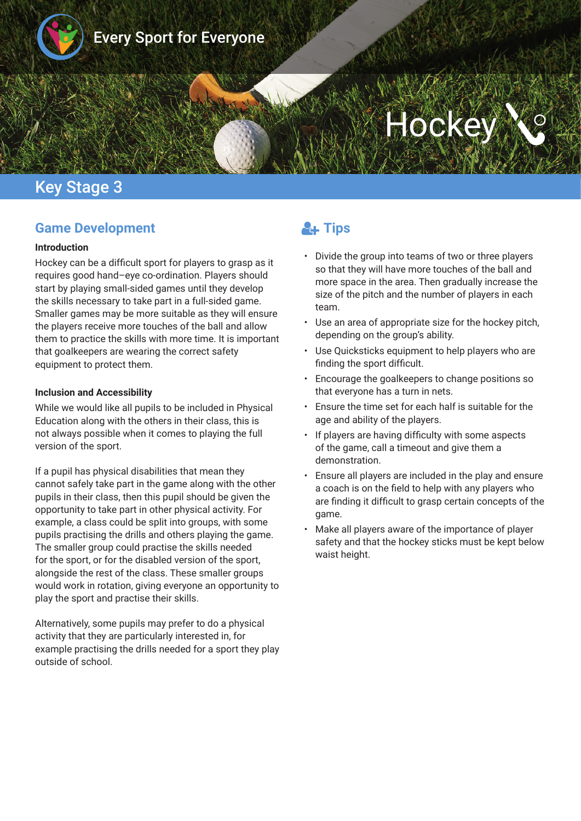

# Hocke

## Key Stage 3

#### **Game Development**

#### **Introduction**

Hockey can be a difficult sport for players to grasp as it requires good hand–eye co-ordination. Players should start by playing small-sided games until they develop the skills necessary to take part in a full-sided game. Smaller games may be more suitable as they will ensure the players receive more touches of the ball and allow them to practice the skills with more time. It is important that goalkeepers are wearing the correct safety equipment to protect them.

#### **Inclusion and Accessibility**

While we would like all pupils to be included in Physical Education along with the others in their class, this is not always possible when it comes to playing the full version of the sport.

If a pupil has physical disabilities that mean they cannot safely take part in the game along with the other pupils in their class, then this pupil should be given the opportunity to take part in other physical activity. For example, a class could be split into groups, with some pupils practising the drills and others playing the game. The smaller group could practise the skills needed for the sport, or for the disabled version of the sport, alongside the rest of the class. These smaller groups would work in rotation, giving everyone an opportunity to play the sport and practise their skills.

Alternatively, some pupils may prefer to do a physical activity that they are particularly interested in, for example practising the drills needed for a sport they play outside of school.

## **A** Tips

- Divide the group into teams of two or three players so that they will have more touches of the ball and more space in the area. Then gradually increase the size of the pitch and the number of players in each team.
- Use an area of appropriate size for the hockey pitch, depending on the group's ability.
- Use Quicksticks equipment to help players who are finding the sport difficult.
- Encourage the goalkeepers to change positions so that everyone has a turn in nets.
- Ensure the time set for each half is suitable for the age and ability of the players.
- If players are having difficulty with some aspects of the game, call a timeout and give them a demonstration.
- Ensure all players are included in the play and ensure a coach is on the feld to help with any players who are fnding it diffcult to grasp certain concepts of the game.
- Make all players aware of the importance of player safety and that the hockey sticks must be kept below waist height.